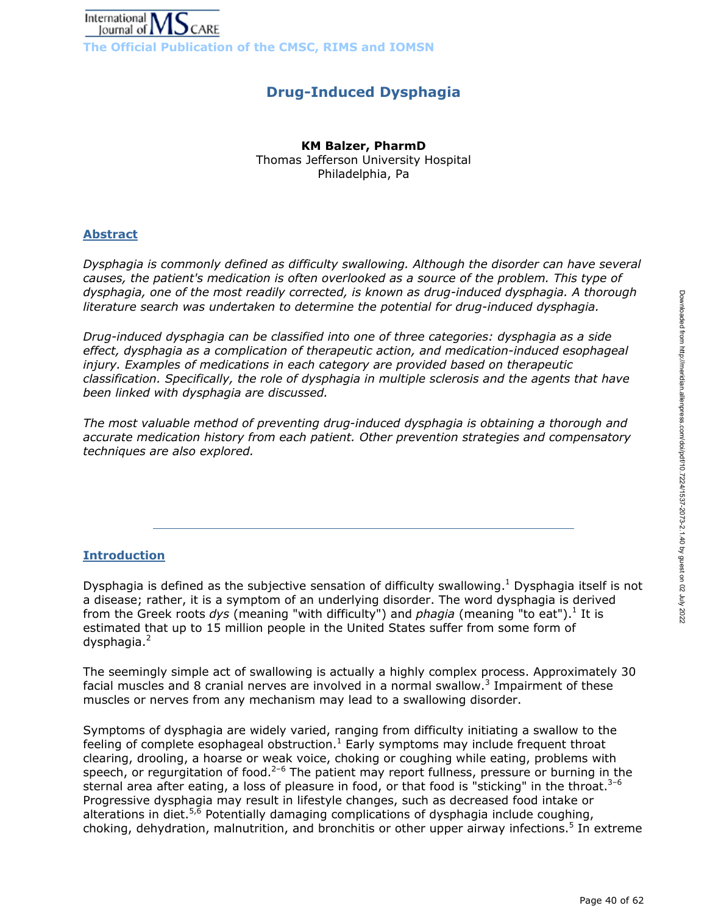

# **Drug-Induced Dysphagia**

### **KM Balzer, PharmD**

Thomas Jefferson University Hospital Philadelphia, Pa

# **Abstract**

*Dysphagia is commonly defined as difficulty swallowing. Although the disorder can have several causes, the patient's medication is often overlooked as a source of the problem. This type of dysphagia, one of the most readily corrected, is known as drug-induced dysphagia. A thorough literature search was undertaken to determine the potential for drug-induced dysphagia.*

*Drug-induced dysphagia can be classified into one of three categories: dysphagia as a side effect, dysphagia as a complication of therapeutic action, and medication-induced esophageal injury. Examples of medications in each category are provided based on therapeutic classification. Specifically, the role of dysphagia in multiple sclerosis and the agents that have been linked with dysphagia are discussed.*

*The most valuable method of preventing drug-induced dysphagia is obtaining a thorough and accurate medication history from each patient. Other prevention strategies and compensatory techniques are also explored.* 

# **Introduction**

Dysphagia is defined as the subjective sensation of difficulty swallowing. $1$  Dysphagia itself is not a disease; rather, it is a symptom of an underlying disorder. The word dysphagia is derived from the Greek roots dys (meaning "with difficulty") and *phagia* (meaning "to eat").<sup>1</sup> It is estimated that up to 15 million people in the United States suffer from some form of dysphagia.<sup>2</sup>

The seemingly simple act of swallowing is actually a highly complex process. Approximately 30 facial muscles and 8 cranial nerves are involved in a normal swallow.<sup>3</sup> Impairment of these muscles or nerves from any mechanism may lead to a swallowing disorder.

Symptoms of dysphagia are widely varied, ranging from difficulty initiating a swallow to the feeling of complete esophageal obstruction.<sup>1</sup> Early symptoms may include frequent throat clearing, drooling, a hoarse or weak voice, choking or coughing while eating, problems with speech, or regurgitation of food.<sup>2-6</sup> The patient may report fullness, pressure or burning in the sternal area after eating, a loss of pleasure in food, or that food is "sticking" in the throat. $3-6$ Progressive dysphagia may result in lifestyle changes, such as decreased food intake or alterations in diet.<sup>5,6</sup> Potentially damaging complications of dysphagia include coughing, choking, dehydration, malnutrition, and bronchitis or other upper airway infections.<sup>5</sup> In extreme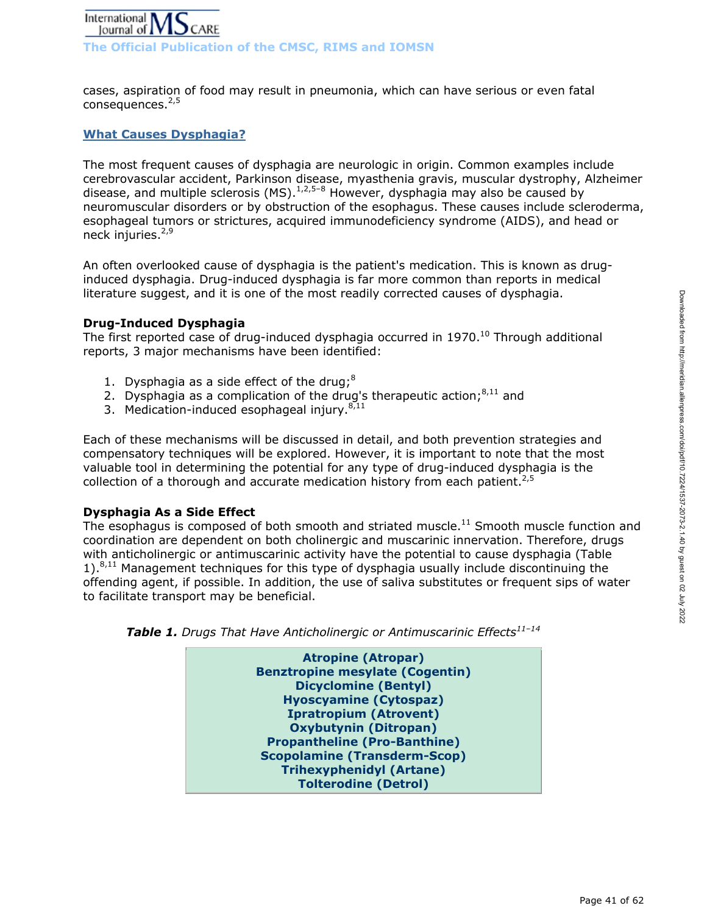

cases, aspiration of food may result in pneumonia, which can have serious or even fatal  $consequence.<sup>2,5</sup>$ 

## **What Causes Dysphagia?**

The most frequent causes of dysphagia are neurologic in origin. Common examples include cerebrovascular accident, Parkinson disease, myasthenia gravis, muscular dystrophy, Alzheimer disease, and multiple sclerosis (MS).  $1,2,5-8$  However, dysphagia may also be caused by neuromuscular disorders or by obstruction of the esophagus. These causes include scleroderma, esophageal tumors or strictures, acquired immunodeficiency syndrome (AIDS), and head or neck injuries.<sup>2,9</sup>

An often overlooked cause of dysphagia is the patient's medication. This is known as druginduced dysphagia. Drug-induced dysphagia is far more common than reports in medical literature suggest, and it is one of the most readily corrected causes of dysphagia.

#### **Drug-Induced Dysphagia**

The first reported case of drug-induced dysphagia occurred in  $1970.<sup>10</sup>$  Through additional reports, 3 major mechanisms have been identified:

- 1. Dysphagia as a side effect of the drug; $8$
- 2. Dysphagia as a complication of the drug's therapeutic action; $8,11$  and
- 3. Medication-induced esophageal injury. $8,11$

Each of these mechanisms will be discussed in detail, and both prevention strategies and compensatory techniques will be explored. However, it is important to note that the most valuable tool in determining the potential for any type of drug-induced dysphagia is the collection of a thorough and accurate medication history from each patient.<sup>2,5</sup>

#### **Dysphagia As a Side Effect**

The esophagus is composed of both smooth and striated muscle.<sup>11</sup> Smooth muscle function and coordination are dependent on both cholinergic and muscarinic innervation. Therefore, drugs with anticholinergic or antimuscarinic activity have the potential to cause dysphagia (Table  $1$ ). $8,11$  Management techniques for this type of dysphagia usually include discontinuing the offending agent, if possible. In addition, the use of saliva substitutes or frequent sips of water to facilitate transport may be beneficial.



Table 1. Drugs That Have Anticholinergic or Antimuscarinic Effects<sup>11-14</sup>

**Hyoscyamine (Cytospaz) Ipratropium (Atrovent) Oxybutynin (Ditropan) Propantheline (Pro-Banthine) Scopolamine (Transderm-Scop) Trihexyphenidyl (Artane) Tolterodine (Detrol)**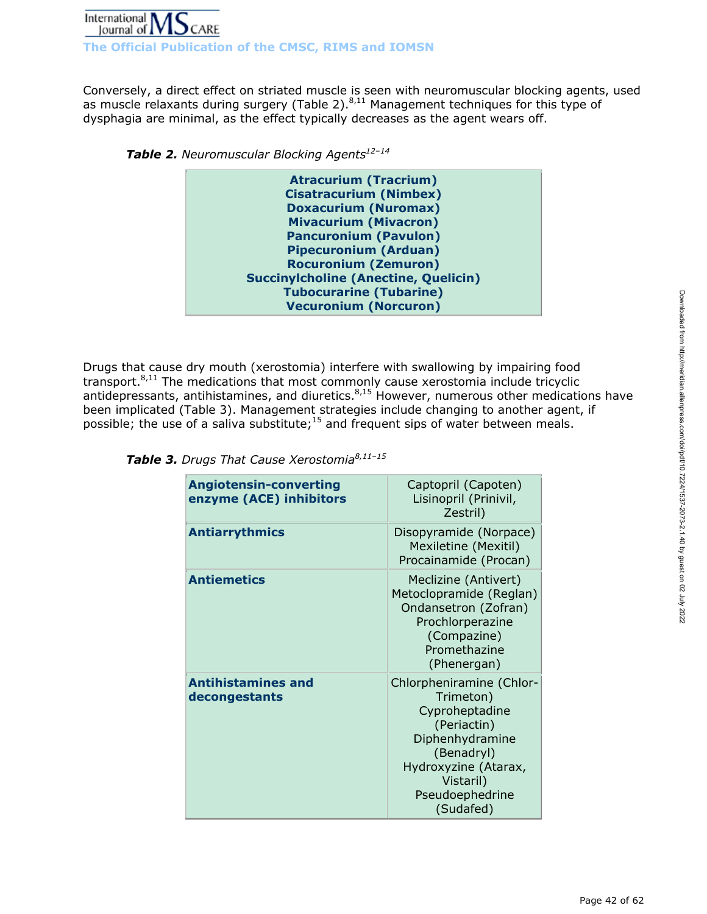

**The Official Publication of the CMSC, RIMS and IOMSN** 

Conversely, a direct effect on striated muscle is seen with neuromuscular blocking agents, used as muscle relaxants during surgery (Table 2).<sup>8,11</sup> Management techniques for this type of dysphagia are minimal, as the effect typically decreases as the agent wears off.

**Table 2.** Neuromuscular Blocking Agents<sup>12-14</sup>

| <b>Atracurium (Tracrium)</b>                |
|---------------------------------------------|
| <b>Cisatracurium (Nimbex)</b>               |
| <b>Doxacurium (Nuromax)</b>                 |
| <b>Mivacurium (Mivacron)</b>                |
| <b>Pancuronium (Pavulon)</b>                |
| <b>Pipecuronium (Arduan)</b>                |
| <b>Rocuronium (Zemuron)</b>                 |
| <b>Succinylcholine (Anectine, Quelicin)</b> |
| <b>Tubocurarine (Tubarine)</b>              |
| <b>Vecuronium (Norcuron)</b>                |
|                                             |

Drugs that cause dry mouth (xerostomia) interfere with swallowing by impairing food transport.8,11 The medications that most commonly cause xerostomia include tricyclic antidepressants, antihistamines, and diuretics. $8,15$  However, numerous other medications have been implicated (Table 3). Management strategies include changing to another agent, if possible; the use of a saliva substitute;<sup>15</sup> and frequent sips of water between meals.

| <b>Angiotensin-converting</b><br>enzyme (ACE) inhibitors | Captopril (Capoten)<br>Lisinopril (Prinivil,<br>Zestril)                                                                                                                     |
|----------------------------------------------------------|------------------------------------------------------------------------------------------------------------------------------------------------------------------------------|
| <b>Antiarrythmics</b>                                    | Disopyramide (Norpace)<br>Mexiletine (Mexitil)<br>Procainamide (Procan)                                                                                                      |
| <b>Antiemetics</b>                                       | Meclizine (Antivert)<br>Metoclopramide (Reglan)<br>Ondansetron (Zofran)<br>Prochlorperazine<br>(Compazine)<br>Promethazine<br>(Phenergan)                                    |
| <b>Antihistamines and</b><br>decongestants               | Chlorpheniramine (Chlor-<br>Trimeton)<br>Cyproheptadine<br>(Periactin)<br>Diphenhydramine<br>(Benadryl)<br>Hydroxyzine (Atarax,<br>Vistaril)<br>Pseudoephedrine<br>(Sudafed) |

| Table 3. Drugs That Cause Xerostomia <sup>8,11-15</sup> |  |
|---------------------------------------------------------|--|
|---------------------------------------------------------|--|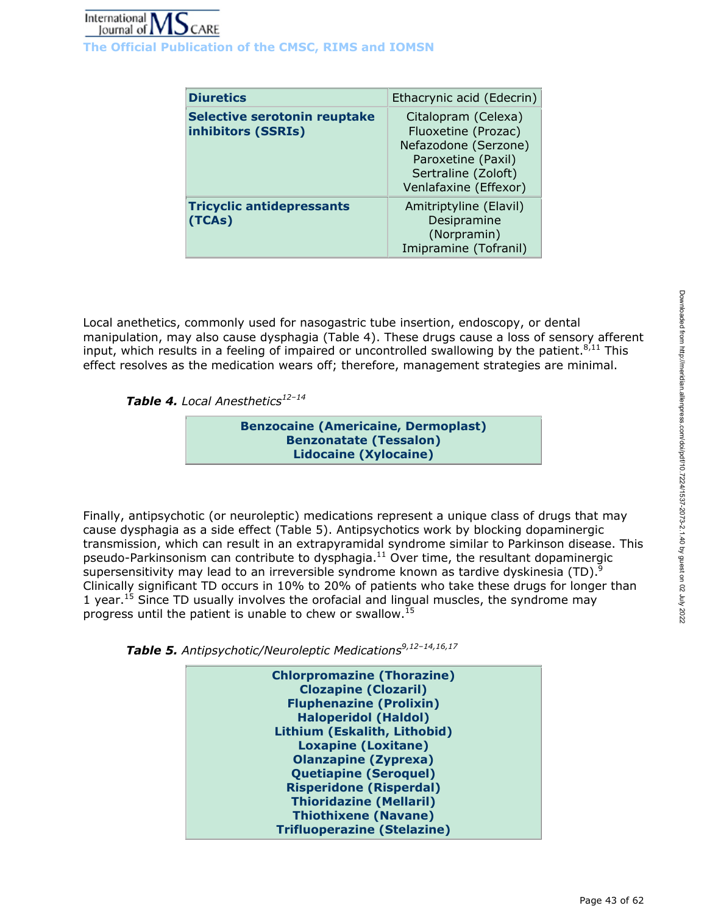| <b>Diuretics</b>                                   | Ethacrynic acid (Edecrin)                                                                                                                |
|----------------------------------------------------|------------------------------------------------------------------------------------------------------------------------------------------|
| Selective serotonin reuptake<br>inhibitors (SSRIs) | Citalopram (Celexa)<br>Fluoxetine (Prozac)<br>Nefazodone (Serzone)<br>Paroxetine (Paxil)<br>Sertraline (Zoloft)<br>Venlafaxine (Effexor) |
| <b>Tricyclic antidepressants</b><br>(TCAs)         | Amitriptyline (Elavil)<br>Desipramine<br>(Norpramin)<br>Imipramine (Tofranil)                                                            |

Local anethetics, commonly used for nasogastric tube insertion, endoscopy, or dental manipulation, may also cause dysphagia (Table 4). These drugs cause a loss of sensory afferent input, which results in a feeling of impaired or uncontrolled swallowing by the patient. $8,11$  This effect resolves as the medication wears off; therefore, management strategies are minimal.

Table 4. Local Anesthetics<sup>12-14</sup>

**Benzocaine (Americaine, Dermoplast) Benzonatate (Tessalon) Lidocaine (Xylocaine)**

Finally, antipsychotic (or neuroleptic) medications represent a unique class of drugs that may cause dysphagia as a side effect (Table 5). Antipsychotics work by blocking dopaminergic transmission, which can result in an extrapyramidal syndrome similar to Parkinson disease. This pseudo-Parkinsonism can contribute to dysphagia. $11$  Over time, the resultant dopaminergic supersensitivity may lead to an irreversible syndrome known as tardive dyskinesia (TD).<sup>9</sup> Clinically significant TD occurs in 10% to 20% of patients who take these drugs for longer than 1 year.<sup>15</sup> Since TD usually involves the orofacial and lingual muscles, the syndrome may progress until the patient is unable to chew or swallow.15

*Table 5. Antipsychotic/Neuroleptic Medications9,12–14,16,17*

| <b>Chlorpromazine (Thorazine)</b>  |
|------------------------------------|
| <b>Clozapine (Clozaril)</b>        |
| <b>Fluphenazine (Prolixin)</b>     |
| <b>Haloperidol (Haldol)</b>        |
| Lithium (Eskalith, Lithobid)       |
| <b>Loxapine (Loxitane)</b>         |
| <b>Olanzapine (Zyprexa)</b>        |
| <b>Quetiapine (Seroquel)</b>       |
| <b>Risperidone (Risperdal)</b>     |
| <b>Thioridazine (Mellaril)</b>     |
| <b>Thiothixene (Navane)</b>        |
| <b>Trifluoperazine (Stelazine)</b> |
|                                    |
|                                    |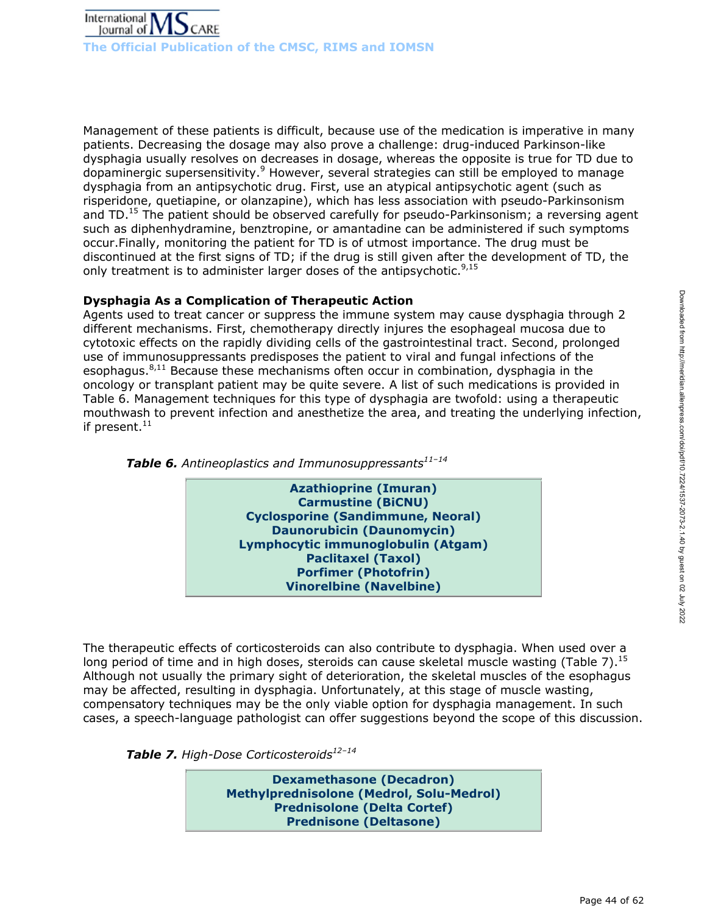

Management of these patients is difficult, because use of the medication is imperative in many patients. Decreasing the dosage may also prove a challenge: drug-induced Parkinson-like dysphagia usually resolves on decreases in dosage, whereas the opposite is true for TD due to dopaminergic supersensitivity.<sup>9</sup> However, several strategies can still be employed to manage dysphagia from an antipsychotic drug. First, use an atypical antipsychotic agent (such as risperidone, quetiapine, or olanzapine), which has less association with pseudo-Parkinsonism and TD.<sup>15</sup> The patient should be observed carefully for pseudo-Parkinsonism; a reversing agent such as diphenhydramine, benztropine, or amantadine can be administered if such symptoms occur.Finally, monitoring the patient for TD is of utmost importance. The drug must be discontinued at the first signs of TD; if the drug is still given after the development of TD, the only treatment is to administer larger doses of the antipsychotic.  $9.15$ 

# **Dysphagia As a Complication of Therapeutic Action**

Agents used to treat cancer or suppress the immune system may cause dysphagia through 2 different mechanisms. First, chemotherapy directly injures the esophageal mucosa due to cytotoxic effects on the rapidly dividing cells of the gastrointestinal tract. Second, prolonged use of immunosuppressants predisposes the patient to viral and fungal infections of the esophagus. $8,11$  Because these mechanisms often occur in combination, dysphagia in the oncology or transplant patient may be quite severe. A list of such medications is provided in Table 6. Management techniques for this type of dysphagia are twofold: using a therapeutic mouthwash to prevent infection and anesthetize the area, and treating the underlying infection, if present. $11$ 





The therapeutic effects of corticosteroids can also contribute to dysphagia. When used over a long period of time and in high doses, steroids can cause skeletal muscle wasting (Table 7).<sup>15</sup> Although not usually the primary sight of deterioration, the skeletal muscles of the esophagus may be affected, resulting in dysphagia. Unfortunately, at this stage of muscle wasting, compensatory techniques may be the only viable option for dysphagia management. In such cases, a speech-language pathologist can offer suggestions beyond the scope of this discussion.



**Dexamethasone (Decadron) Methylprednisolone (Medrol, Solu-Medrol) Prednisolone (Delta Cortef) Prednisone (Deltasone)**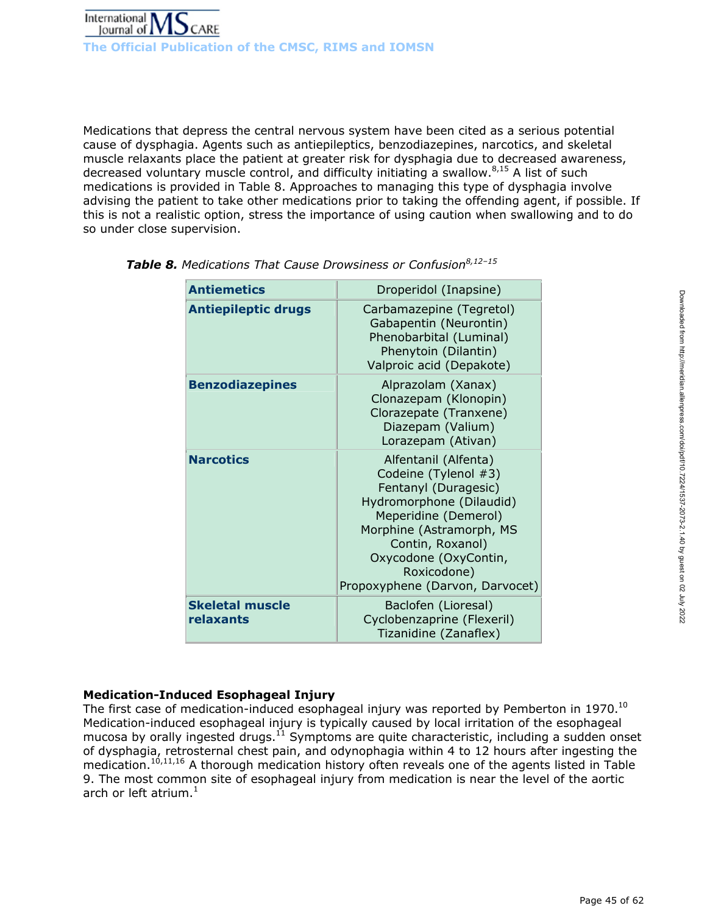

Medications that depress the central nervous system have been cited as a serious potential cause of dysphagia. Agents such as antiepileptics, benzodiazepines, narcotics, and skeletal muscle relaxants place the patient at greater risk for dysphagia due to decreased awareness, decreased voluntary muscle control, and difficulty initiating a swallow. $8,15$  A list of such medications is provided in Table 8. Approaches to managing this type of dysphagia involve advising the patient to take other medications prior to taking the offending agent, if possible. If this is not a realistic option, stress the importance of using caution when swallowing and to do so under close supervision.

| Droperidol (Inapsine)                                                                                                                                                                                                                               |  |
|-----------------------------------------------------------------------------------------------------------------------------------------------------------------------------------------------------------------------------------------------------|--|
| Carbamazepine (Tegretol)<br>Gabapentin (Neurontin)<br>Phenobarbital (Luminal)<br>Phenytoin (Dilantin)<br>Valproic acid (Depakote)                                                                                                                   |  |
| Alprazolam (Xanax)<br>Clonazepam (Klonopin)<br>Clorazepate (Tranxene)<br>Diazepam (Valium)<br>Lorazepam (Ativan)                                                                                                                                    |  |
| Alfentanil (Alfenta)<br>Codeine (Tylenol #3)<br>Fentanyl (Duragesic)<br>Hydromorphone (Dilaudid)<br>Meperidine (Demerol)<br>Morphine (Astramorph, MS<br>Contin, Roxanol)<br>Oxycodone (OxyContin,<br>Roxicodone)<br>Propoxyphene (Darvon, Darvocet) |  |
| Baclofen (Lioresal)<br>Cyclobenzaprine (Flexeril)<br>Tizanidine (Zanaflex)                                                                                                                                                                          |  |
|                                                                                                                                                                                                                                                     |  |

| <b>Table 8.</b> Medications That Cause Drowsiness or Confusion $8,12-15$ |  |  |  |
|--------------------------------------------------------------------------|--|--|--|
|--------------------------------------------------------------------------|--|--|--|

# **Medication-Induced Esophageal Injury**

The first case of medication-induced esophageal injury was reported by Pemberton in 1970.<sup>10</sup> Medication-induced esophageal injury is typically caused by local irritation of the esophageal mucosa by orally ingested drugs.<sup>11</sup> Symptoms are quite characteristic, including a sudden onset of dysphagia, retrosternal chest pain, and odynophagia within 4 to 12 hours after ingesting the medication.<sup>10,11,16</sup> A thorough medication history often reveals one of the agents listed in Table 9. The most common site of esophageal injury from medication is near the level of the aortic arch or left atrium. $<sup>1</sup>$ </sup>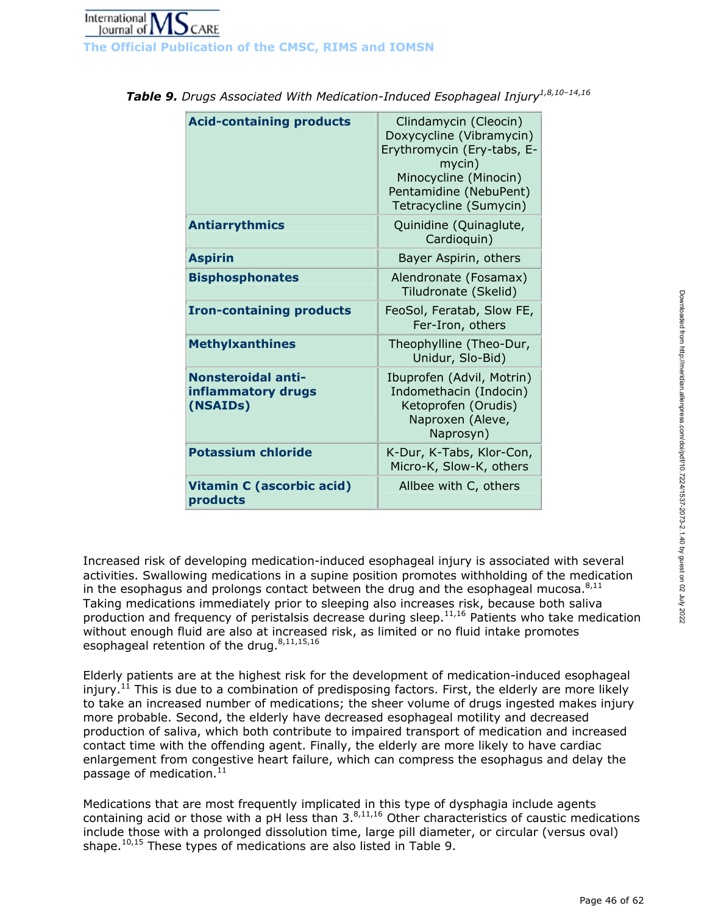| <b>Acid-containing products</b>                             | Clindamycin (Cleocin)<br>Doxycycline (Vibramycin)<br>Erythromycin (Ery-tabs, E-<br>mycin)<br>Minocycline (Minocin)<br>Pentamidine (NebuPent)<br>Tetracycline (Sumycin) |
|-------------------------------------------------------------|------------------------------------------------------------------------------------------------------------------------------------------------------------------------|
| <b>Antiarrythmics</b>                                       | Quinidine (Quinaglute,<br>Cardioquin)                                                                                                                                  |
| <b>Aspirin</b>                                              | Bayer Aspirin, others                                                                                                                                                  |
| <b>Bisphosphonates</b>                                      | Alendronate (Fosamax)<br>Tiludronate (Skelid)                                                                                                                          |
| <b>Iron-containing products</b>                             | FeoSol, Feratab, Slow FE,<br>Fer-Iron, others                                                                                                                          |
| <b>Methylxanthines</b>                                      | Theophylline (Theo-Dur,<br>Unidur, Slo-Bid)                                                                                                                            |
| <b>Nonsteroidal anti-</b><br>inflammatory drugs<br>(NSAIDs) | Ibuprofen (Advil, Motrin)<br>Indomethacin (Indocin)<br>Ketoprofen (Orudis)<br>Naproxen (Aleve,<br>Naprosyn)                                                            |
| <b>Potassium chloride</b>                                   | K-Dur, K-Tabs, Klor-Con,<br>Micro-K, Slow-K, others                                                                                                                    |
| <b>Vitamin C (ascorbic acid)</b><br>products                | Allbee with C, others                                                                                                                                                  |

| Table 9. Drugs Associated With Medication-Induced Esophageal Injury <sup>1,8,10-14,16</sup> |  |
|---------------------------------------------------------------------------------------------|--|
|---------------------------------------------------------------------------------------------|--|

Increased risk of developing medication-induced esophageal injury is associated with several activities. Swallowing medications in a supine position promotes withholding of the medication in the esophagus and prolongs contact between the drug and the esophageal mucosa. $8,11$ Taking medications immediately prior to sleeping also increases risk, because both saliva production and frequency of peristalsis decrease during sleep. $11,16$  Patients who take medication without enough fluid are also at increased risk, as limited or no fluid intake promotes esophageal retention of the drug. $8,11,15,16$ 

Elderly patients are at the highest risk for the development of medication-induced esophageal injury.<sup>11</sup> This is due to a combination of predisposing factors. First, the elderly are more likely to take an increased number of medications; the sheer volume of drugs ingested makes injury more probable. Second, the elderly have decreased esophageal motility and decreased production of saliva, which both contribute to impaired transport of medication and increased contact time with the offending agent. Finally, the elderly are more likely to have cardiac enlargement from congestive heart failure, which can compress the esophagus and delay the passage of medication. $^{11}$ 

Medications that are most frequently implicated in this type of dysphagia include agents containing acid or those with a pH less than  $3.^{8,11,16}$  Other characteristics of caustic medications include those with a prolonged dissolution time, large pill diameter, or circular (versus oval) shape. $10,15$  These types of medications are also listed in Table 9.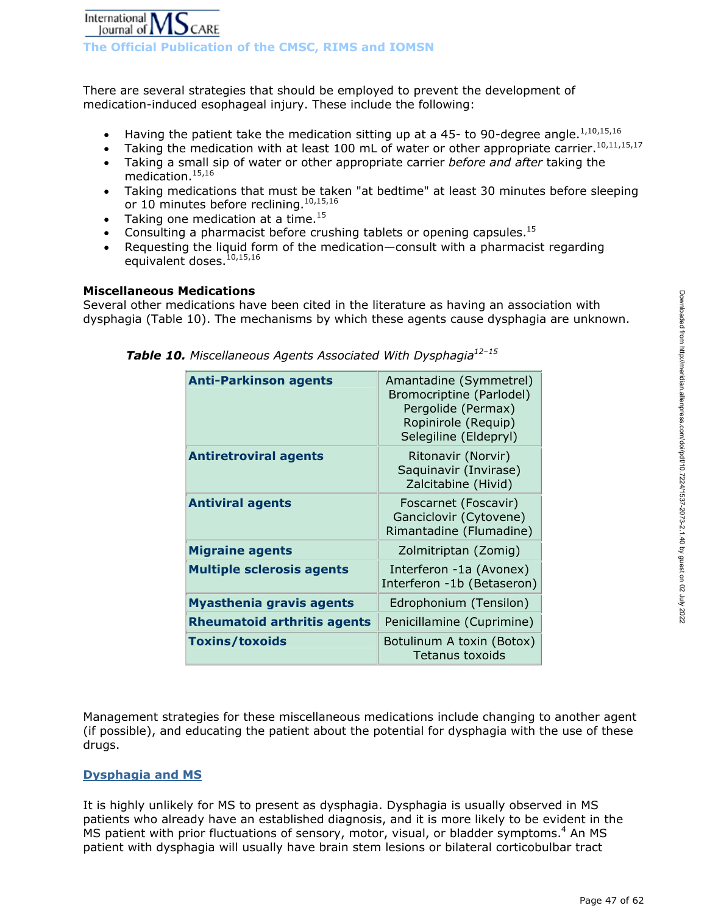There are several strategies that should be employed to prevent the development of medication-induced esophageal injury. These include the following:

- Having the patient take the medication sitting up at a 45- to 90-degree angle.<sup>1,10,15,16</sup>
- Taking the medication with at least 100 mL of water or other appropriate carrier.<sup>10,11,15,17</sup>
- Taking a small sip of water or other appropriate carrier *before and after* taking the medication.15,16
- Taking medications that must be taken "at bedtime" at least 30 minutes before sleeping or 10 minutes before reclining.<sup>10,15,16</sup>
- Taking one medication at a time. $15$
- Consulting a pharmacist before crushing tablets or opening capsules.<sup>15</sup>
- Requesting the liquid form of the medication—consult with a pharmacist regarding equivalent doses.<sup>10,15,16</sup>

#### **Miscellaneous Medications**

Several other medications have been cited in the literature as having an association with dysphagia (Table 10). The mechanisms by which these agents cause dysphagia are unknown.

| <b>Anti-Parkinson agents</b>       | Amantadine (Symmetrel)<br>Bromocriptine (Parlodel)<br>Pergolide (Permax)<br>Ropinirole (Requip)<br>Selegiline (Eldepryl) |
|------------------------------------|--------------------------------------------------------------------------------------------------------------------------|
| <b>Antiretroviral agents</b>       | Ritonavir (Norvir)<br>Saquinavir (Invirase)<br>Zalcitabine (Hivid)                                                       |
| <b>Antiviral agents</b>            | Foscarnet (Foscavir)<br>Ganciclovir (Cytovene)<br>Rimantadine (Flumadine)                                                |
| <b>Migraine agents</b>             | Zolmitriptan (Zomig)                                                                                                     |
| <b>Multiple sclerosis agents</b>   | Interferon -1a (Avonex)<br>Interferon -1b (Betaseron)                                                                    |
| <b>Myasthenia gravis agents</b>    | Edrophonium (Tensilon)                                                                                                   |
| <b>Rheumatoid arthritis agents</b> | Penicillamine (Cuprimine)                                                                                                |
| <b>Toxins/toxoids</b>              | Botulinum A toxin (Botox)<br>Tetanus toxoids                                                                             |

*Table 10. Miscellaneous Agents Associated With Dysphagia12–15*

Management strategies for these miscellaneous medications include changing to another agent (if possible), and educating the patient about the potential for dysphagia with the use of these drugs.

# **Dysphagia and MS**

It is highly unlikely for MS to present as dysphagia. Dysphagia is usually observed in MS patients who already have an established diagnosis, and it is more likely to be evident in the MS patient with prior fluctuations of sensory, motor, visual, or bladder symptoms.<sup>4</sup> An MS patient with dysphagia will usually have brain stem lesions or bilateral corticobulbar tract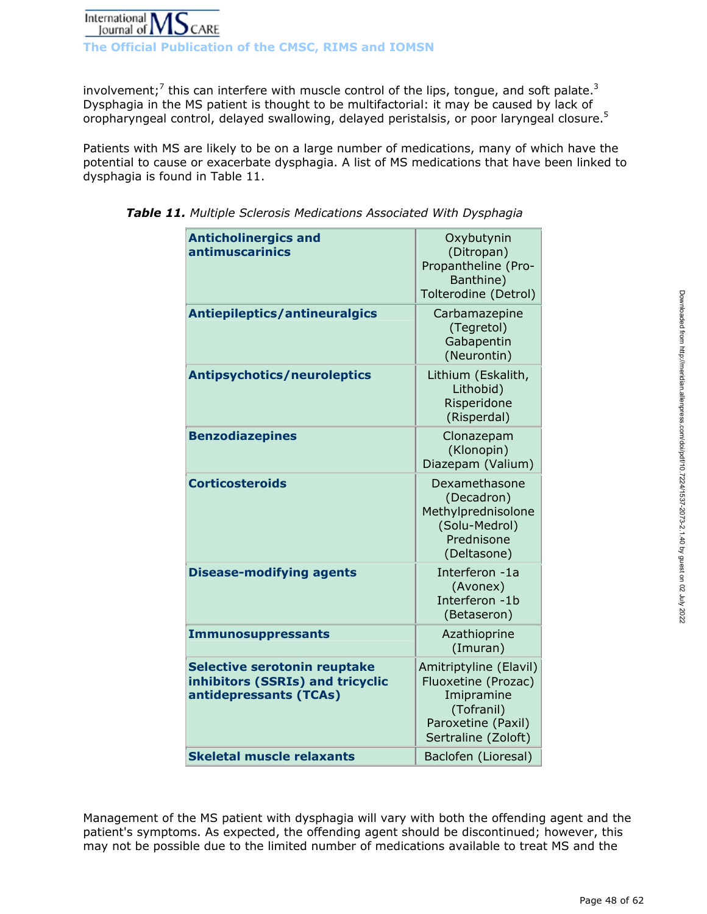

**The Official Publication of the CMSC, RIMS and IOMSN** 

involvement;<sup>7</sup> this can interfere with muscle control of the lips, tongue, and soft palate.<sup>3</sup> Dysphagia in the MS patient is thought to be multifactorial: it may be caused by lack of oropharyngeal control, delayed swallowing, delayed peristalsis, or poor laryngeal closure.<sup>5</sup>

Patients with MS are likely to be on a large number of medications, many of which have the potential to cause or exacerbate dysphagia. A list of MS medications that have been linked to dysphagia is found in Table 11.

| <b>Anticholinergics and</b><br>antimuscarinics                                                    | Oxybutynin<br>(Ditropan)<br>Propantheline (Pro-<br>Banthine)<br>Tolterodine (Detrol)                                   |
|---------------------------------------------------------------------------------------------------|------------------------------------------------------------------------------------------------------------------------|
| Antiepileptics/antineuralgics                                                                     | Carbamazepine<br>(Tegretol)<br>Gabapentin<br>(Neurontin)                                                               |
| <b>Antipsychotics/neuroleptics</b>                                                                | Lithium (Eskalith,<br>Lithobid)<br>Risperidone<br>(Risperdal)                                                          |
| <b>Benzodiazepines</b>                                                                            | Clonazepam<br>(Klonopin)<br>Diazepam (Valium)                                                                          |
| <b>Corticosteroids</b>                                                                            | Dexamethasone<br>(Decadron)<br>Methylprednisolone<br>(Solu-Medrol)<br>Prednisone<br>(Deltasone)                        |
| <b>Disease-modifying agents</b>                                                                   | Interferon -1a<br>(Avonex)<br>Interferon -1b<br>(Betaseron)                                                            |
| <b>Immunosuppressants</b>                                                                         | Azathioprine<br>(Imuran)                                                                                               |
| <b>Selective serotonin reuptake</b><br>inhibitors (SSRIs) and tricyclic<br>antidepressants (TCAs) | Amitriptyline (Elavil)<br>Fluoxetine (Prozac)<br>Imipramine<br>(Tofranil)<br>Paroxetine (Paxil)<br>Sertraline (Zoloft) |
| <b>Skeletal muscle relaxants</b>                                                                  | Baclofen (Lioresal)                                                                                                    |

*Table 11. Multiple Sclerosis Medications Associated With Dysphagia*

Management of the MS patient with dysphagia will vary with both the offending agent and the patient's symptoms. As expected, the offending agent should be discontinued; however, this may not be possible due to the limited number of medications available to treat MS and the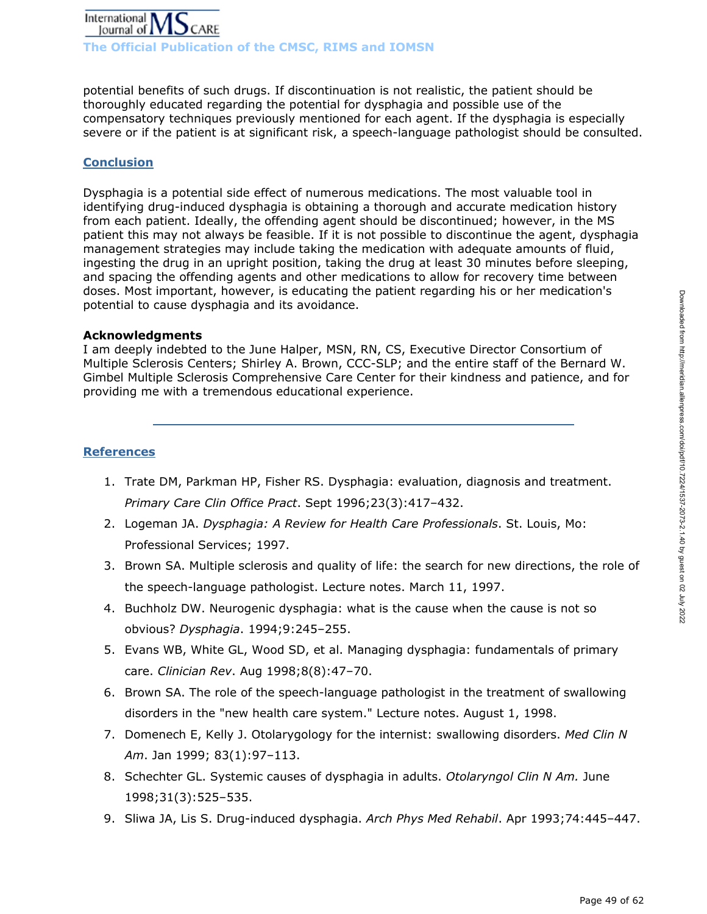

**The Official Publication of the CMSC, RIMS and IOMSN** 

potential benefits of such drugs. If discontinuation is not realistic, the patient should be thoroughly educated regarding the potential for dysphagia and possible use of the compensatory techniques previously mentioned for each agent. If the dysphagia is especially severe or if the patient is at significant risk, a speech-language pathologist should be consulted.

# **Conclusion**

Dysphagia is a potential side effect of numerous medications. The most valuable tool in identifying drug-induced dysphagia is obtaining a thorough and accurate medication history from each patient. Ideally, the offending agent should be discontinued; however, in the MS patient this may not always be feasible. If it is not possible to discontinue the agent, dysphagia management strategies may include taking the medication with adequate amounts of fluid, ingesting the drug in an upright position, taking the drug at least 30 minutes before sleeping, and spacing the offending agents and other medications to allow for recovery time between doses. Most important, however, is educating the patient regarding his or her medication's potential to cause dysphagia and its avoidance.

#### **Acknowledgments**

I am deeply indebted to the June Halper, MSN, RN, CS, Executive Director Consortium of Multiple Sclerosis Centers; Shirley A. Brown, CCC-SLP; and the entire staff of the Bernard W. Gimbel Multiple Sclerosis Comprehensive Care Center for their kindness and patience, and for providing me with a tremendous educational experience.

### **References**

- 1. Trate DM, Parkman HP, Fisher RS. Dysphagia: evaluation, diagnosis and treatment. *Primary Care Clin Office Pract*. Sept 1996;23(3):417–432.
- 2. Logeman JA. *Dysphagia: A Review for Health Care Professionals*. St. Louis, Mo: Professional Services; 1997.
- 3. Brown SA. Multiple sclerosis and quality of life: the search for new directions, the role of the speech-language pathologist. Lecture notes. March 11, 1997.
- 4. Buchholz DW. Neurogenic dysphagia: what is the cause when the cause is not so obvious? *Dysphagia*. 1994;9:245–255.
- 5. Evans WB, White GL, Wood SD, et al. Managing dysphagia: fundamentals of primary care. *Clinician Rev*. Aug 1998;8(8):47–70.
- 6. Brown SA. The role of the speech-language pathologist in the treatment of swallowing disorders in the "new health care system." Lecture notes. August 1, 1998.
- 7. Domenech E, Kelly J. Otolarygology for the internist: swallowing disorders. *Med Clin N Am*. Jan 1999; 83(1):97–113.
- 8. Schechter GL. Systemic causes of dysphagia in adults. *Otolaryngol Clin N Am.* June 1998;31(3):525–535.
- 9. Sliwa JA, Lis S. Drug-induced dysphagia. *Arch Phys Med Rehabil*. Apr 1993;74:445–447.